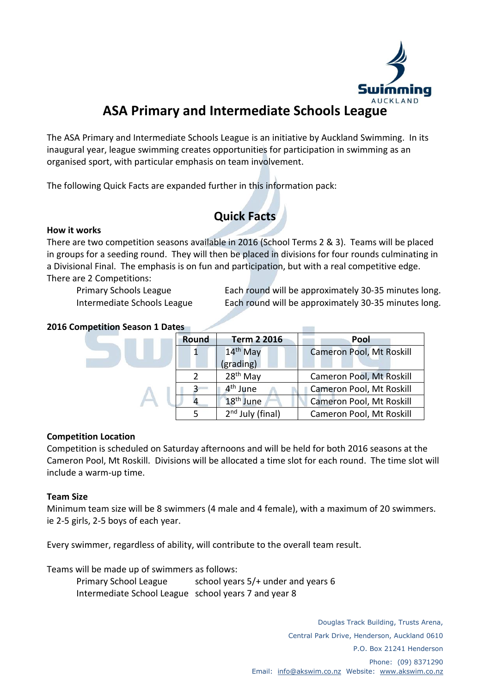

# **ASA Primary and Intermediate Schools League**

The ASA Primary and Intermediate Schools League is an initiative by Auckland Swimming. In its inaugural year, league swimming creates opportunities for participation in swimming as an organised sport, with particular emphasis on team involvement.

The following Quick Facts are expanded further in this information pack:

# **Quick Facts**

### **How it works**

There are two competition seasons available in 2016 (School Terms 2 & 3). Teams will be placed in groups for a seeding round. They will then be placed in divisions for four rounds culminating in a Divisional Final. The emphasis is on fun and participation, but with a real competitive edge. There are 2 Competitions:

Primary Schools League Each round will be approximately 30-35 minutes long. Intermediate Schools League Each round will be approximately 30-35 minutes long.

T T

### **2016 Competition Season 1 Dates**

| Round | <b>Term 2 2016</b>    | Pool                     |
|-------|-----------------------|--------------------------|
|       | 14 <sup>th</sup> May  | Cameron Pool, Mt Roskill |
|       | (grading)             |                          |
|       | 28 <sup>th</sup> May  | Cameron Pool, Mt Roskill |
|       | 4 <sup>th</sup> June  | Cameron Pool, Mt Roskill |
|       | 18 <sup>th</sup> June | Cameron Pool, Mt Roskill |
|       | $2nd$ July (final)    | Cameron Pool, Mt Roskill |

#### **Competition Location**

Competition is scheduled on Saturday afternoons and will be held for both 2016 seasons at the Cameron Pool, Mt Roskill. Divisions will be allocated a time slot for each round. The time slot will include a warm-up time.

#### **Team Size**

Minimum team size will be 8 swimmers (4 male and 4 female), with a maximum of 20 swimmers. ie 2-5 girls, 2-5 boys of each year.

Every swimmer, regardless of ability, will contribute to the overall team result.

Teams will be made up of swimmers as follows:

Primary School League school years 5/+ under and years 6 Intermediate School League school years 7 and year 8

> Douglas Track Building, Trusts Arena, Central Park Drive, Henderson, Auckland 0610 P.O. Box 21241 Henderson Phone: (09) 8371290 Email: [info@akswim.co.nz](mailto:info@akswim.co.nz) Website: [www.akswim.co.nz](http://www.akswim.co.nz/)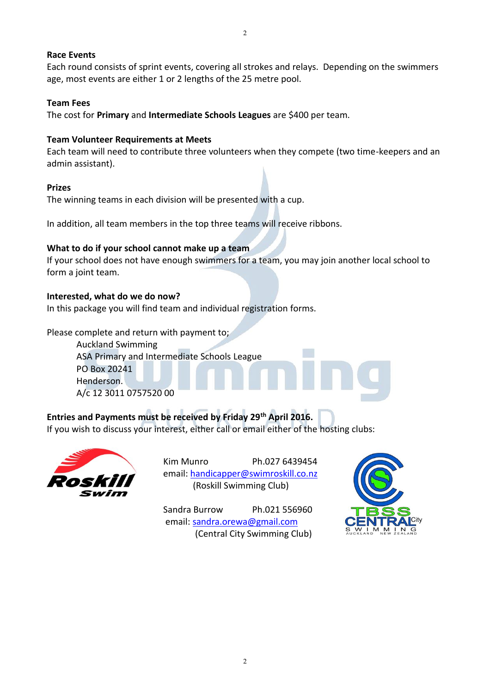#### **Race Events**

Each round consists of sprint events, covering all strokes and relays. Depending on the swimmers age, most events are either 1 or 2 lengths of the 25 metre pool.

2

#### **Team Fees**

The cost for **Primary** and **Intermediate Schools Leagues** are \$400 per team.

#### **Team Volunteer Requirements at Meets**

Each team will need to contribute three volunteers when they compete (two time-keepers and an admin assistant).

#### **Prizes**

The winning teams in each division will be presented with a cup.

In addition, all team members in the top three teams will receive ribbons.

#### **What to do if your school cannot make up a team**

If your school does not have enough swimmers for a team, you may join another local school to form a joint team.

#### **Interested, what do we do now?**

In this package you will find team and individual registration forms.

Please complete and return with payment to;

Auckland Swimming ASA Primary and Intermediate Schools League PO Box 20241 Henderson. A/c 12 3011 0757520 00

### **Entries and Payments must be received by Friday 29th April 2016.**

If you wish to discuss your interest, either call or email either of the hosting clubs:



Kim Munro Ph.027 6439454 email: [handicapper@swimroskill.co.nz](mailto:handicapper@swimroskill.co.nz) (Roskill Swimming Club)

Sandra Burrow Ph.021 556960 email[: sandra.orewa@gmail.com](mailto:sandra.orewa@gmail.com) (Central City Swimming Club)

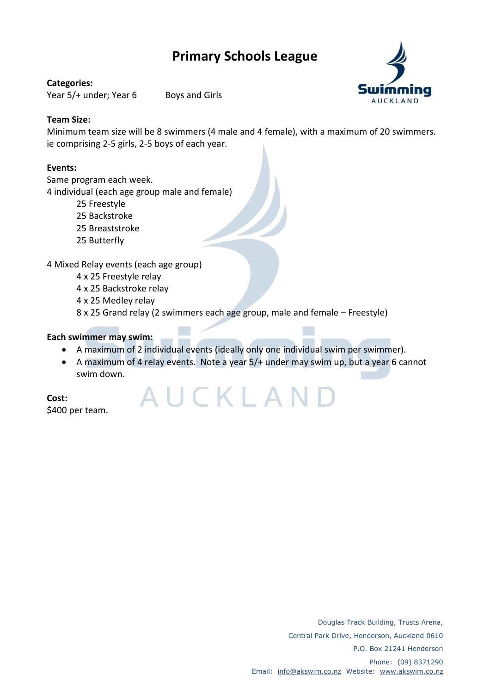# **Primary Schools League**

#### **Categories:**

Year 5/+ under; Year 6 Boys and Girls



### **Team Size:**

Minimum team size will be 8 swimmers (4 male and 4 female), with a maximum of 20 swimmers. ie comprising 2-5 girls, 2-5 boys of each year.

### **Events:**

Same program each week.

4 individual (each age group male and female)

- 25 Freestyle
- 25 Backstroke
- 25 Breaststroke
- 25 Butterfly

4 Mixed Relay events (each age group)

4 x 25 Freestyle relay

4 x 25 Backstroke relay

4 x 25 Medley relay

8 x 25 Grand relay (2 swimmers each age group, male and female – Freestyle)

### **Each swimmer may swim:**

A maximum of 2 individual events (ideally only one individual swim per swimmer).

AUCKLAN

 A maximum of 4 relay events. Note a year 5/+ under may swim up, but a year 6 cannot swim down.

**Cost:** \$400 per team.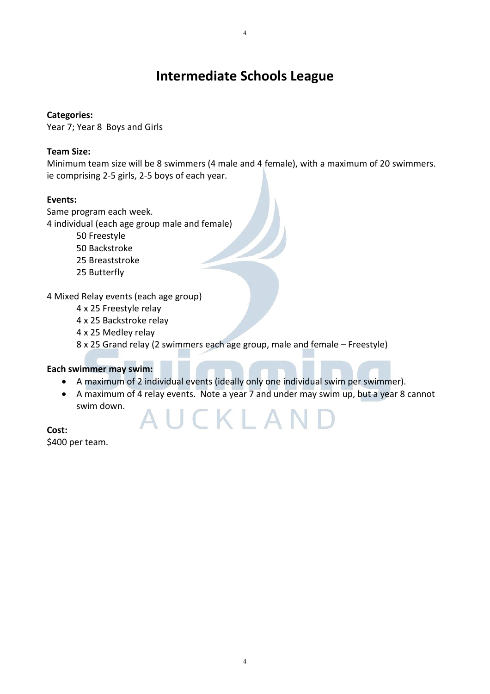## **Intermediate Schools League**

### **Categories:**

Year 7; Year 8 Boys and Girls

### **Team Size:**

Minimum team size will be 8 swimmers (4 male and 4 female), with a maximum of 20 swimmers. ie comprising 2-5 girls, 2-5 boys of each year.

### **Events:**

Same program each week.

4 individual (each age group male and female)

- 50 Freestyle
- 50 Backstroke
- 25 Breaststroke
- 25 Butterfly

4 Mixed Relay events (each age group)

- 4 x 25 Freestyle relay
- 4 x 25 Backstroke relay
- 4 x 25 Medley relay

8 x 25 Grand relay (2 swimmers each age group, male and female – Freestyle)

#### **Each swimmer may swim:**

- A maximum of 2 individual events (ideally only one individual swim per swimmer).
- A maximum of 4 relay events. Note a year 7 and under may swim up, but a year 8 cannot swim down. UCKLAND

**Cost:** \$400 per team.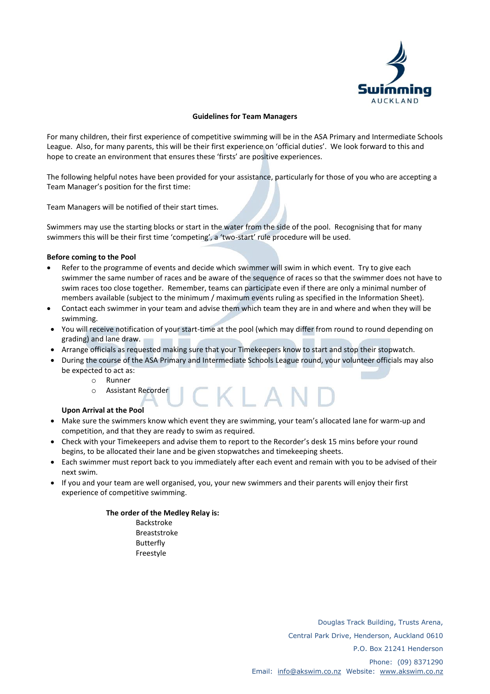

#### **Guidelines for Team Managers**

For many children, their first experience of competitive swimming will be in the ASA Primary and Intermediate Schools League. Also, for many parents, this will be their first experience on 'official duties'. We look forward to this and hope to create an environment that ensures these 'firsts' are positive experiences.

The following helpful notes have been provided for your assistance, particularly for those of you who are accepting a Team Manager's position for the first time:

Team Managers will be notified of their start times.

Swimmers may use the starting blocks or start in the water from the side of the pool. Recognising that for many swimmers this will be their first time 'competing', a 'two-start' rule procedure will be used.

#### **Before coming to the Pool**

- Refer to the programme of events and decide which swimmer will swim in which event. Try to give each swimmer the same number of races and be aware of the sequence of races so that the swimmer does not have to swim races too close together. Remember, teams can participate even if there are only a minimal number of members available (subject to the minimum / maximum events ruling as specified in the Information Sheet).
- Contact each swimmer in your team and advise them which team they are in and where and when they will be swimming.
- You will receive notification of your start-time at the pool (which may differ from round to round depending on grading) and lane draw.
- Arrange officials as requested making sure that your Timekeepers know to start and stop their stopwatch.
- During the course of the ASA Primary and Intermediate Schools League round, your volunteer officials may also be expected to act as:

CKLAI

- o Runner
- o Assistant Recorder

#### **Upon Arrival at the Pool**

- Make sure the swimmers know which event they are swimming, your team's allocated lane for warm-up and competition, and that they are ready to swim as required.
- Check with your Timekeepers and advise them to report to the Recorder's desk 15 mins before your round begins, to be allocated their lane and be given stopwatches and timekeeping sheets.
- Each swimmer must report back to you immediately after each event and remain with you to be advised of their next swim.
- If you and your team are well organised, you, your new swimmers and their parents will enjoy their first experience of competitive swimming.

#### **The order of the Medley Relay is:**

Backstroke Breaststroke Butterfly Freestyle

> Douglas Track Building, Trusts Arena, Central Park Drive, Henderson, Auckland 0610 P.O. Box 21241 Henderson Phone: (09) 8371290 Email: [info@akswim.co.nz](mailto:info@akswim.co.nz) Website: [www.akswim.co.nz](http://www.akswim.co.nz/)